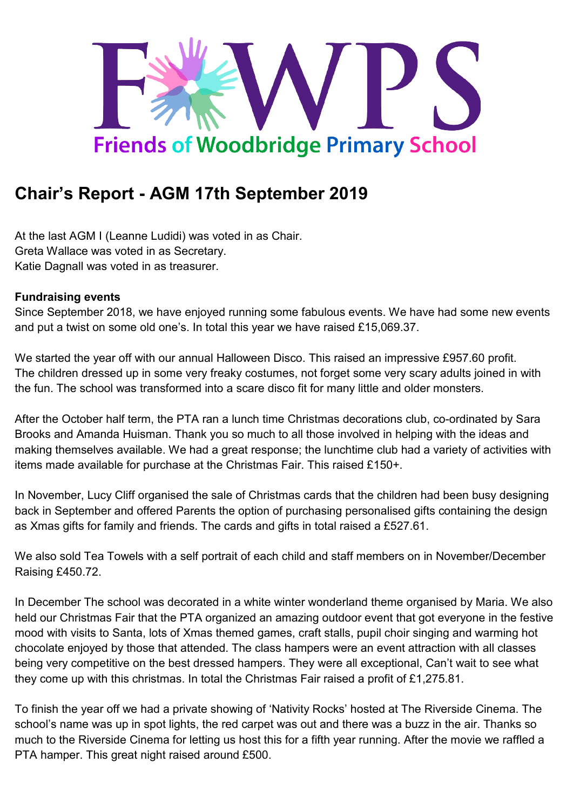

# **Chair's Report - AGM 17th September 2019**

At the last AGM I (Leanne Ludidi) was voted in as Chair. Greta Wallace was voted in as Secretary. Katie Dagnall was voted in as treasurer.

### **Fundraising events**

Since September 2018, we have enjoyed running some fabulous events. We have had some new events and put a twist on some old one's. In total this year we have raised £15,069.37.

We started the year off with our annual Halloween Disco. This raised an impressive £957.60 profit. The children dressed up in some very freaky costumes, not forget some very scary adults joined in with the fun. The school was transformed into a scare disco fit for many little and older monsters.

After the October half term, the PTA ran a lunch time Christmas decorations club, co-ordinated by Sara Brooks and Amanda Huisman. Thank you so much to all those involved in helping with the ideas and making themselves available. We had a great response; the lunchtime club had a variety of activities with items made available for purchase at the Christmas Fair. This raised £150+.

In November, Lucy Cliff organised the sale of Christmas cards that the children had been busy designing back in September and offered Parents the option of purchasing personalised gifts containing the design as Xmas gifts for family and friends. The cards and gifts in total raised a £527.61.

We also sold Tea Towels with a self portrait of each child and staff members on in November/December Raising £450.72.

In December The school was decorated in a white winter wonderland theme organised by Maria. We also held our Christmas Fair that the PTA organized an amazing outdoor event that got everyone in the festive mood with visits to Santa, lots of Xmas themed games, craft stalls, pupil choir singing and warming hot chocolate enjoyed by those that attended. The class hampers were an event attraction with all classes being very competitive on the best dressed hampers. They were all exceptional, Can't wait to see what they come up with this christmas. In total the Christmas Fair raised a profit of £1,275.81.

To finish the year off we had a private showing of 'Nativity Rocks' hosted at The Riverside Cinema. The school's name was up in spot lights, the red carpet was out and there was a buzz in the air. Thanks so much to the Riverside Cinema for letting us host this for a fifth year running. After the movie we raffled a PTA hamper. This great night raised around £500.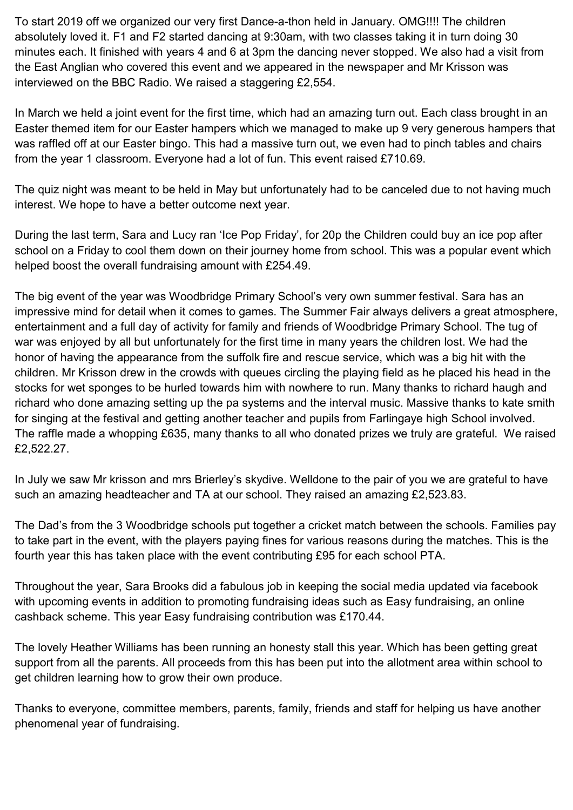To start 2019 off we organized our very first Dance-a-thon held in January. OMG!!!! The children absolutely loved it. F1 and F2 started dancing at 9:30am, with two classes taking it in turn doing 30 minutes each. It finished with years 4 and 6 at 3pm the dancing never stopped. We also had a visit from the East Anglian who covered this event and we appeared in the newspaper and Mr Krisson was interviewed on the BBC Radio. We raised a staggering £2,554.

In March we held a joint event for the first time, which had an amazing turn out. Each class brought in an Easter themed item for our Easter hampers which we managed to make up 9 very generous hampers that was raffled off at our Easter bingo. This had a massive turn out, we even had to pinch tables and chairs from the year 1 classroom. Everyone had a lot of fun. This event raised £710.69.

The quiz night was meant to be held in May but unfortunately had to be canceled due to not having much interest. We hope to have a better outcome next year.

During the last term, Sara and Lucy ran 'Ice Pop Friday', for 20p the Children could buy an ice pop after school on a Friday to cool them down on their journey home from school. This was a popular event which helped boost the overall fundraising amount with £254.49.

The big event of the year was Woodbridge Primary School's very own summer festival. Sara has an impressive mind for detail when it comes to games. The Summer Fair always delivers a great atmosphere, entertainment and a full day of activity for family and friends of Woodbridge Primary School. The tug of war was enjoyed by all but unfortunately for the first time in many years the children lost. We had the honor of having the appearance from the suffolk fire and rescue service, which was a big hit with the children. Mr Krisson drew in the crowds with queues circling the playing field as he placed his head in the stocks for wet sponges to be hurled towards him with nowhere to run. Many thanks to richard haugh and richard who done amazing setting up the pa systems and the interval music. Massive thanks to kate smith for singing at the festival and getting another teacher and pupils from Farlingaye high School involved. The raffle made a whopping £635, many thanks to all who donated prizes we truly are grateful. We raised £2,522.27.

In July we saw Mr krisson and mrs Brierley's skydive. Welldone to the pair of you we are grateful to have such an amazing headteacher and TA at our school. They raised an amazing £2,523.83.

The Dad's from the 3 Woodbridge schools put together a cricket match between the schools. Families pay to take part in the event, with the players paying fines for various reasons during the matches. This is the fourth year this has taken place with the event contributing £95 for each school PTA.

Throughout the year, Sara Brooks did a fabulous job in keeping the social media updated via facebook with upcoming events in addition to promoting fundraising ideas such as Easy fundraising, an online cashback scheme. This year Easy fundraising contribution was £170.44.

The lovely Heather Williams has been running an honesty stall this year. Which has been getting great support from all the parents. All proceeds from this has been put into the allotment area within school to get children learning how to grow their own produce.

Thanks to everyone, committee members, parents, family, friends and staff for helping us have another phenomenal year of fundraising.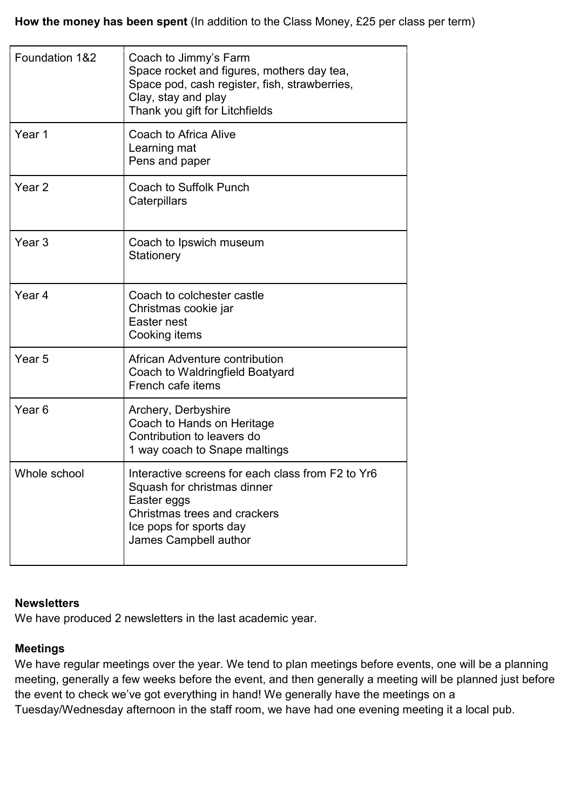**How the money has been spent** (In addition to the Class Money, £25 per class per term)

| Foundation 1&2    | Coach to Jimmy's Farm<br>Space rocket and figures, mothers day tea,<br>Space pod, cash register, fish, strawberries,<br>Clay, stay and play<br>Thank you gift for Litchfields       |
|-------------------|-------------------------------------------------------------------------------------------------------------------------------------------------------------------------------------|
| Year 1            | <b>Coach to Africa Alive</b><br>Learning mat<br>Pens and paper                                                                                                                      |
| Year <sub>2</sub> | Coach to Suffolk Punch<br>Caterpillars                                                                                                                                              |
| Year <sub>3</sub> | Coach to Ipswich museum<br>Stationery                                                                                                                                               |
| Year <sub>4</sub> | Coach to colchester castle<br>Christmas cookie jar<br>Easter nest<br>Cooking items                                                                                                  |
| Year <sub>5</sub> | African Adventure contribution<br>Coach to Waldringfield Boatyard<br>French cafe items                                                                                              |
| Year <sub>6</sub> | Archery, Derbyshire<br>Coach to Hands on Heritage<br>Contribution to leavers do<br>1 way coach to Snape maltings                                                                    |
| Whole school      | Interactive screens for each class from F2 to Yr6<br>Squash for christmas dinner<br>Easter eggs<br>Christmas trees and crackers<br>Ice pops for sports day<br>James Campbell author |

## **Newsletters**

We have produced 2 newsletters in the last academic year.

#### **Meetings**

We have regular meetings over the year. We tend to plan meetings before events, one will be a planning meeting, generally a few weeks before the event, and then generally a meeting will be planned just before the event to check we've got everything in hand! We generally have the meetings on a Tuesday/Wednesday afternoon in the staff room, we have had one evening meeting it a local pub.